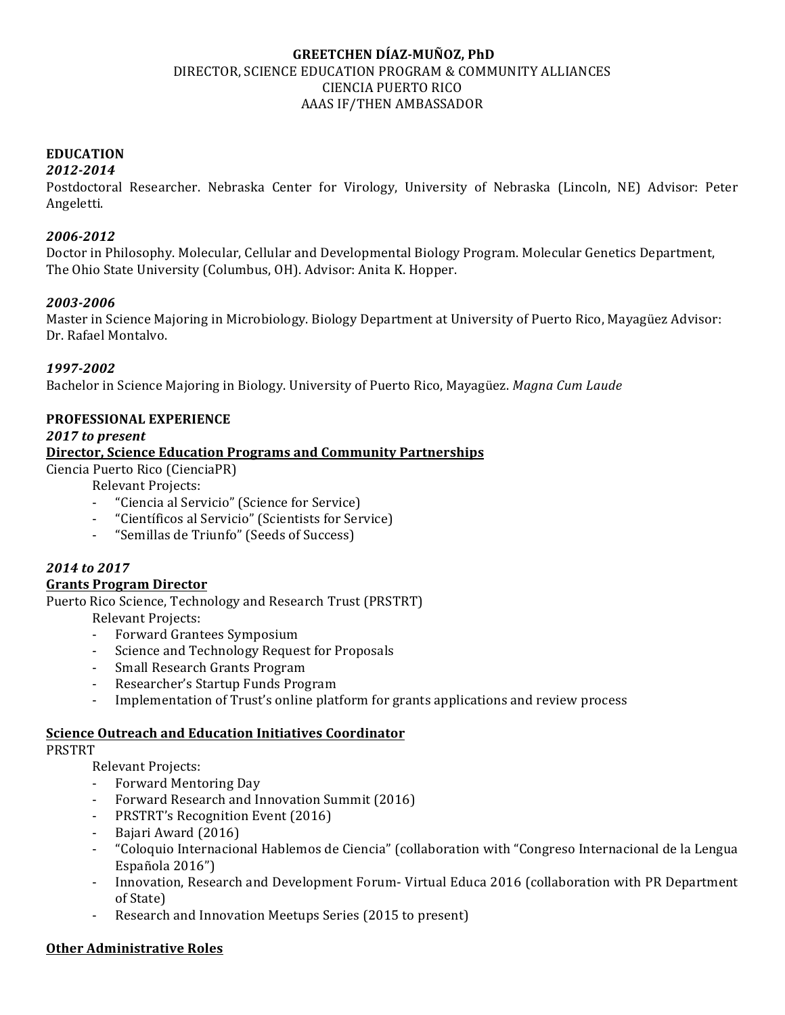### **GREETCHEN DÍAZ-MUÑOZ, PhD** DIRECTOR, SCIENCE EDUCATION PROGRAM & COMMUNITY ALLIANCES CIENCIA PUERTO RICO AAAS IF/THEN AMBASSADOR

### **EDUCATION**

#### *2012-2014*

Postdoctoral Researcher. Nebraska Center for Virology, University of Nebraska (Lincoln, NE) Advisor: Peter Angeletti. 

#### *2006-2012*

Doctor in Philosophy. Molecular, Cellular and Developmental Biology Program. Molecular Genetics Department, The Ohio State University (Columbus, OH). Advisor: Anita K. Hopper.

### *2003-2006*

Master in Science Majoring in Microbiology. Biology Department at University of Puerto Rico, Mayagüez Advisor: Dr. Rafael Montalvo.

## *1997-2002*

Bachelor in Science Majoring in Biology. University of Puerto Rico, Mayagüez. *Magna Cum Laude* 

### **PROFESSIONAL EXPERIENCE**

### *2017 to present*

### **Director, Science Education Programs and Community Partnerships**

Ciencia Puerto Rico (CienciaPR)

Relevant Projects:

- "Ciencia al Servicio" (Science for Service)
- "Científicos al Servicio" (Scientists for Service)
- "Semillas de Triunfo" (Seeds of Success)

## *2014 to 2017*

### **Grants Program Director**

Puerto Rico Science, Technology and Research Trust (PRSTRT)

Relevant Projects:

- Forward Grantees Symposium
- Science and Technology Request for Proposals
- Small Research Grants Program
- Researcher's Startup Funds Program
- Implementation of Trust's online platform for grants applications and review process

#### **Science Outreach and Education Initiatives Coordinator**

#### PRSTRT

Relevant Projects:

- Forward Mentoring Day
- Forward Research and Innovation Summit (2016)
- PRSTRT's Recognition Event (2016)
- Bajari Award (2016)
- "Coloquio Internacional Hablemos de Ciencia" (collaboration with "Congreso Internacional de la Lengua Española 2016")
- Innovation, Research and Development Forum- Virtual Educa 2016 (collaboration with PR Department of State)
- Research and Innovation Meetups Series (2015 to present)

### **Other Administrative Roles**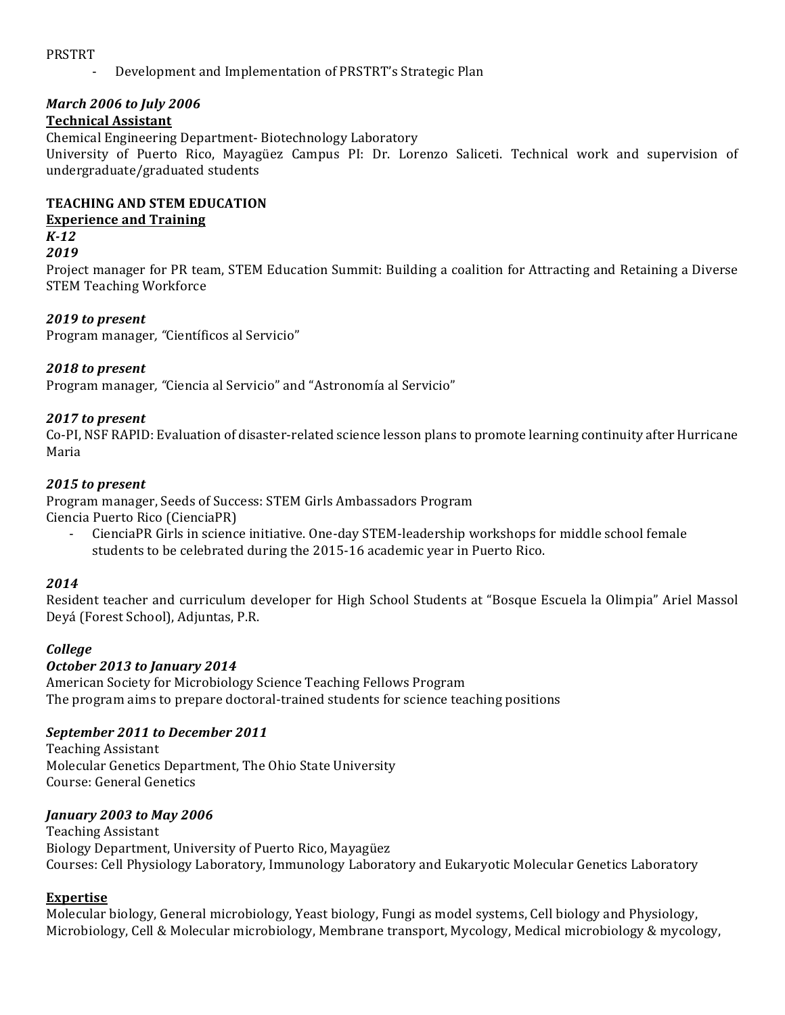#### PRSTRT

Development and Implementation of PRSTRT's Strategic Plan

## *March 2006 to July 2006*

### **Technical Assistant**

Chemical Engineering Department-Biotechnology Laboratory University of Puerto Rico, Mayagüez Campus PI: Dr. Lorenzo Saliceti. Technical work and supervision of undergraduate/graduated students

### **TEACHING AND STEM EDUCATION**

### **Experience and Training**

### *K-12*

*2019* 

Project manager for PR team, STEM Education Summit: Building a coalition for Attracting and Retaining a Diverse STEM Teaching Workforce

### 2019 to present

Program manager, "Científicos al Servicio"

### *2018 to present*

Program manager, "Ciencia al Servicio" and "Astronomía al Servicio"

### *2017 to present*

Co-PI, NSF RAPID: Evaluation of disaster-related science lesson plans to promote learning continuity after Hurricane Maria

### 2015 to present

Program manager, Seeds of Success: STEM Girls Ambassadors Program Ciencia Puerto Rico (CienciaPR)

CienciaPR Girls in science initiative. One-day STEM-leadership workshops for middle school female students to be celebrated during the 2015-16 academic year in Puerto Rico.

#### *2014*

Resident teacher and curriculum developer for High School Students at "Bosque Escuela la Olimpia" Ariel Massol Deyá (Forest School), Adjuntas, P.R.

### *College*

### *October 2013 to January 2014*

American Society for Microbiology Science Teaching Fellows Program The program aims to prepare doctoral-trained students for science teaching positions

### September 2011 to December 2011

Teaching Assistant Molecular Genetics Department, The Ohio State University Course: General Genetics 

### *January 2003 to May 2006*

Teaching Assistant Biology Department, University of Puerto Rico, Mayagüez Courses: Cell Physiology Laboratory, Immunology Laboratory and Eukaryotic Molecular Genetics Laboratory

### **Expertise**

Molecular biology, General microbiology, Yeast biology, Fungi as model systems, Cell biology and Physiology, Microbiology, Cell & Molecular microbiology, Membrane transport, Mycology, Medical microbiology & mycology,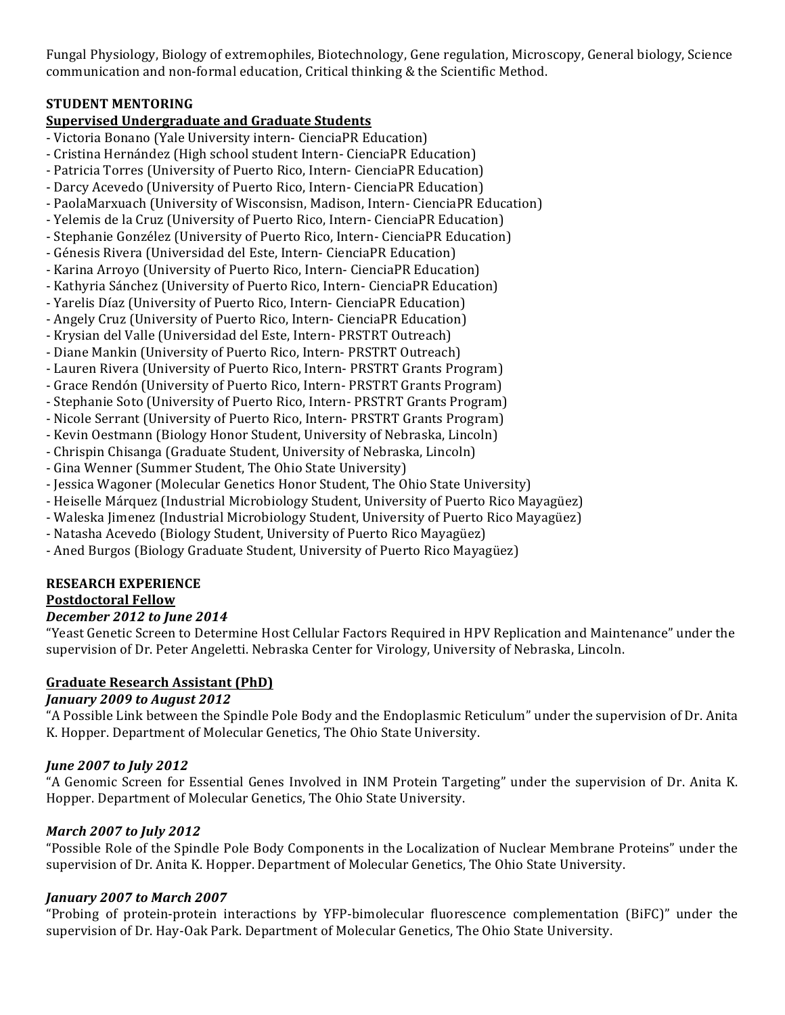Fungal Physiology, Biology of extremophiles, Biotechnology, Gene regulation, Microscopy, General biology, Science communication and non-formal education, Critical thinking & the Scientific Method.

### **STUDENT MENTORING**

# **<u>Supervised Undergraduate and Graduate Students</u>**

- Victoria Bonano (Yale University intern- CienciaPR Education)
- Cristina Hernández (High school student Intern- CienciaPR Education)
- Patricia Torres (University of Puerto Rico, Intern- CienciaPR Education)
- Darcy Acevedo (University of Puerto Rico, Intern- CienciaPR Education)
- PaolaMarxuach (University of Wisconsisn, Madison, Intern- CienciaPR Education)
- Yelemis de la Cruz (University of Puerto Rico, Intern- CienciaPR Education)
- Stephanie Gonzélez (University of Puerto Rico, Intern- CienciaPR Education)
- Génesis Rivera (Universidad del Este, Intern- CienciaPR Education)
- Karina Arroyo (University of Puerto Rico, Intern- CienciaPR Education)
- Kathyria Sánchez (University of Puerto Rico, Intern- CienciaPR Education)
- Yarelis Díaz (University of Puerto Rico, Intern- CienciaPR Education)
- Angely Cruz (University of Puerto Rico, Intern- CienciaPR Education)
- Krysian del Valle (Universidad del Este, Intern- PRSTRT Outreach)
- Diane Mankin (University of Puerto Rico, Intern- PRSTRT Outreach)
- Lauren Rivera (University of Puerto Rico, Intern- PRSTRT Grants Program)
- Grace Rendón (University of Puerto Rico, Intern- PRSTRT Grants Program)
- Stephanie Soto (University of Puerto Rico, Intern- PRSTRT Grants Program)
- Nicole Serrant (University of Puerto Rico, Intern- PRSTRT Grants Program)
- Kevin Oestmann (Biology Honor Student, University of Nebraska, Lincoln)
- Chrispin Chisanga (Graduate Student, University of Nebraska, Lincoln)
- Gina Wenner (Summer Student, The Ohio State University)
- Jessica Wagoner (Molecular Genetics Honor Student, The Ohio State University)
- Heiselle Márquez (Industrial Microbiology Student, University of Puerto Rico Mayagüez)
- Waleska Jimenez (Industrial Microbiology Student, University of Puerto Rico Mayagüez)
- Natasha Acevedo (Biology Student, University of Puerto Rico Mayagüez)
- Aned Burgos (Biology Graduate Student, University of Puerto Rico Mayagüez)

# **RESEARCH EXPERIENCE**

# **Postdoctoral Fellow**

# *December 2012 to June 2014*

"Yeast Genetic Screen to Determine Host Cellular Factors Required in HPV Replication and Maintenance" under the supervision of Dr. Peter Angeletti. Nebraska Center for Virology, University of Nebraska, Lincoln.

# **Graduate Research Assistant (PhD)**

# *January 2009 to August 2012*

"A Possible Link between the Spindle Pole Body and the Endoplasmic Reticulum" under the supervision of Dr. Anita K. Hopper. Department of Molecular Genetics, The Ohio State University.

# *June 2007 to July 2012*

"A Genomic Screen for Essential Genes Involved in INM Protein Targeting" under the supervision of Dr. Anita K. Hopper. Department of Molecular Genetics, The Ohio State University.

# *March 2007 to July 2012*

"Possible Role of the Spindle Pole Body Components in the Localization of Nuclear Membrane Proteins" under the supervision of Dr. Anita K. Hopper. Department of Molecular Genetics, The Ohio State University.

# *January 2007 to March 2007*

"Probing of protein-protein interactions by YFP-bimolecular fluorescence complementation (BiFC)" under the supervision of Dr. Hay-Oak Park. Department of Molecular Genetics, The Ohio State University.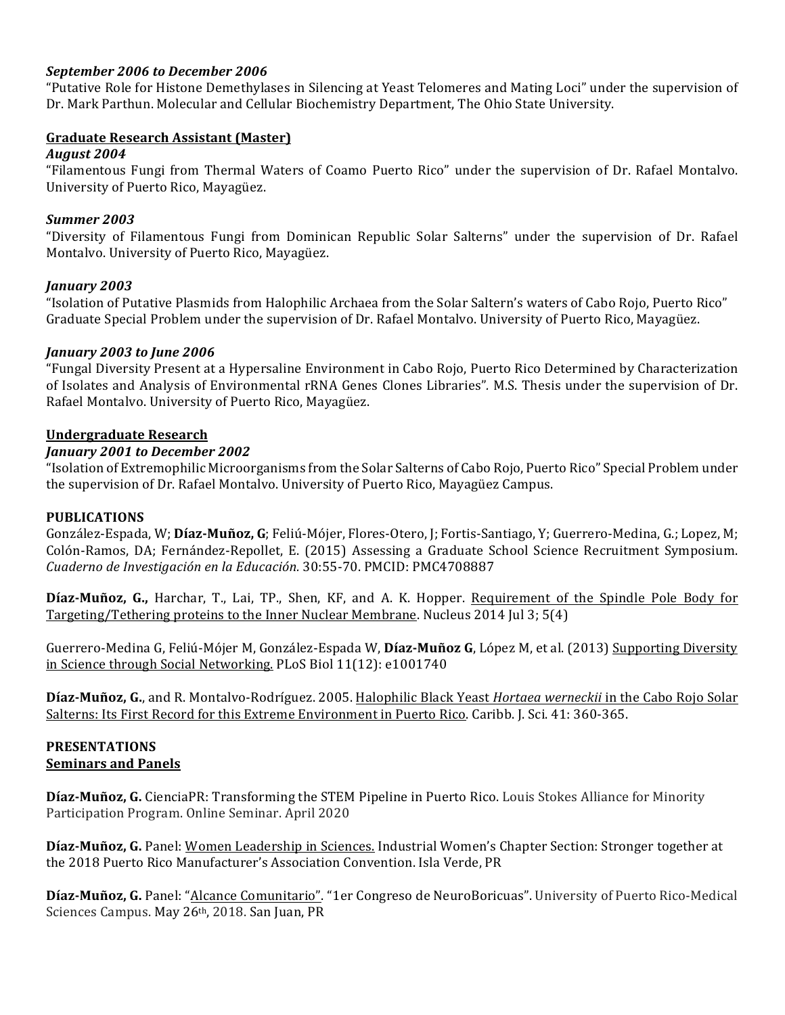### September 2006 to December 2006

"Putative Role for Histone Demethylases in Silencing at Yeast Telomeres and Mating Loci" under the supervision of Dr. Mark Parthun. Molecular and Cellular Biochemistry Department, The Ohio State University.

### **Graduate Research Assistant (Master)**

#### *August 2004*

"Filamentous Fungi from Thermal Waters of Coamo Puerto Rico" under the supervision of Dr. Rafael Montalvo. University of Puerto Rico, Mayagüez.

### *Summer 2003*

"Diversity of Filamentous Fungi from Dominican Republic Solar Salterns" under the supervision of Dr. Rafael Montalvo. University of Puerto Rico, Mayagüez.

### *January 2003*

"Isolation of Putative Plasmids from Halophilic Archaea from the Solar Saltern's waters of Cabo Rojo, Puerto Rico" Graduate Special Problem under the supervision of Dr. Rafael Montalvo. University of Puerto Rico, Mayagüez.

### *January 2003 to June 2006*

"Fungal Diversity Present at a Hypersaline Environment in Cabo Rojo, Puerto Rico Determined by Characterization of Isolates and Analysis of Environmental rRNA Genes Clones Libraries". M.S. Thesis under the supervision of Dr. Rafael Montalvo. University of Puerto Rico, Mayagüez.

### **Undergraduate Research**

### January 2001 to December 2002

"Isolation of Extremophilic Microorganisms from the Solar Salterns of Cabo Rojo, Puerto Rico" Special Problem under the supervision of Dr. Rafael Montalvo. University of Puerto Rico, Mayagüez Campus.

#### **PUBLICATIONS**

González-Espada, W; Díaz-Muñoz, G; Feliú-Mójer, Flores-Otero, J; Fortis-Santiago, Y; Guerrero-Medina, G.; Lopez, M; Colón-Ramos, DA; Fernández-Repollet, E. (2015) Assessing a Graduate School Science Recruitment Symposium. *Cuaderno de Investigación en la Educación.* 30:55-70. PMCID: PMC4708887

**Díaz-Muñoz, G.,** Harchar, T., Lai, TP., Shen, KF, and A. K. Hopper. Requirement of the Spindle Pole Body for Targeting/Tethering proteins to the Inner Nuclear Membrane. Nucleus  $2014$  [ul 3;  $5(4)$ ]

Guerrero-Medina G, Feliú-Mójer M, González-Espada W, Díaz-Muñoz G, López M, et al. (2013) Supporting Diversity in Science through Social Networking. PLoS Biol 11(12): e1001740

Díaz-Muñoz, G., and R. Montalvo-Rodríguez. 2005. Halophilic Black Yeast Hortaea werneckii in the Cabo Rojo Solar Salterns: Its First Record for this Extreme Environment in Puerto Rico. Caribb. J. Sci. 41: 360-365.

#### **PRESENTATIONS Seminars and Panels**

Díaz-Muñoz, G. CienciaPR: Transforming the STEM Pipeline in Puerto Rico. Louis Stokes Alliance for Minority Participation Program. Online Seminar. April 2020

Díaz-Muñoz, G. Panel: Women Leadership in Sciences. Industrial Women's Chapter Section: Stronger together at the 2018 Puerto Rico Manufacturer's Association Convention. Isla Verde. PR

Díaz-Muñoz, G. Panel: "Alcance Comunitario". "1er Congreso de NeuroBoricuas". University of Puerto Rico-Medical Sciences Campus. May 26th, 2018. San Juan, PR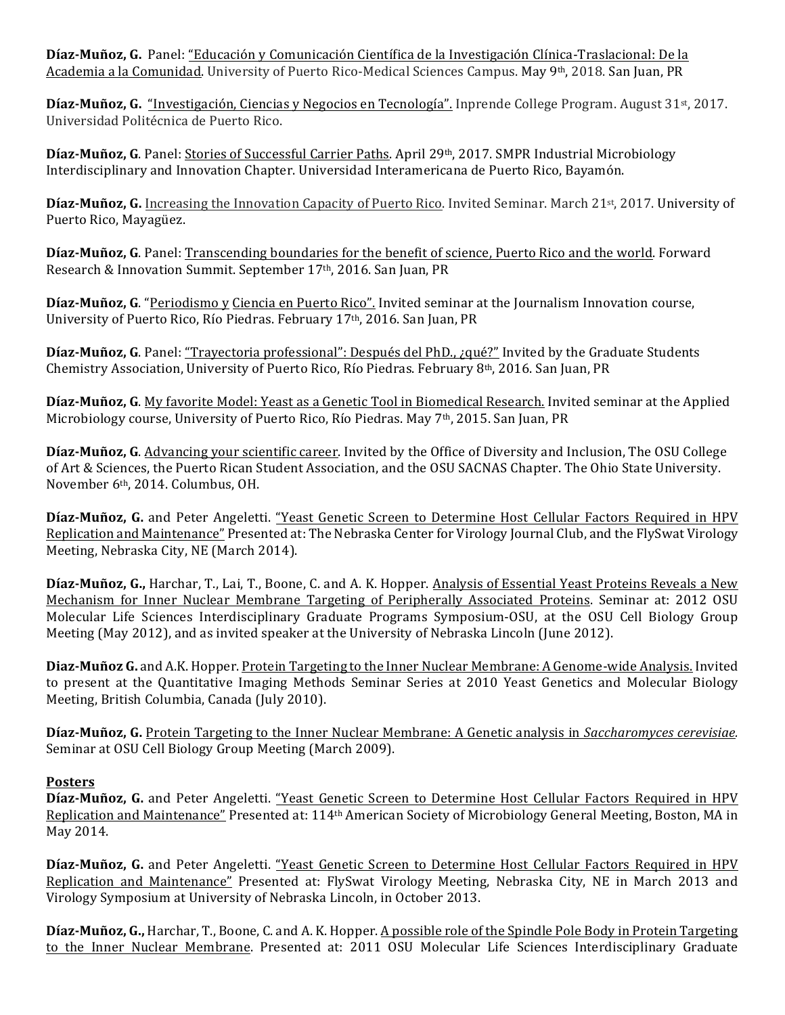Díaz-Muñoz, G. Panel: "Educación y Comunicación Científica de la Investigación Clínica-Traslacional: De la Academia a la Comunidad. University of Puerto Rico-Medical Sciences Campus. May 9<sup>th</sup>, 2018. San Juan, PR

**Díaz-Muñoz, G.** "Investigación, Ciencias y Negocios en Tecnología". Inprende College Program. August 31<sup>st</sup>, 2017. Universidad Politécnica de Puerto Rico.

Díaz-Muñoz, G. Panel: Stories of Successful Carrier Paths. April 29<sup>th</sup>, 2017. SMPR Industrial Microbiology Interdisciplinary and Innovation Chapter. Universidad Interamericana de Puerto Rico, Bayamón.

Díaz-Muñoz, G. Increasing the Innovation Capacity of Puerto Rico. Invited Seminar. March 21st, 2017. University of Puerto Rico, Mayagüez.

**Díaz-Muñoz, G**. Panel: Transcending boundaries for the benefit of science, Puerto Rico and the world. Forward Research & Innovation Summit. September 17<sup>th</sup>, 2016. San Juan, PR

Díaz-Muñoz, G. "Periodismo y Ciencia en Puerto Rico". Invited seminar at the Journalism Innovation course, University of Puerto Rico, Río Piedras. February 17<sup>th</sup>, 2016. San Juan, PR

Díaz-Muñoz, G. Panel: "Trayectoria professional": Después del PhD., ¿qué?" Invited by the Graduate Students Chemistry Association, University of Puerto Rico, Río Piedras. February 8<sup>th</sup>, 2016. San Juan. PR

**Díaz-Muñoz, G**. My favorite Model: Yeast as a Genetic Tool in Biomedical Research. Invited seminar at the Applied Microbiology course, University of Puerto Rico, Río Piedras. May  $7<sup>th</sup>$ , 2015. San Juan, PR

**Díaz-Muñoz, G**. Advancing your scientific career. Invited by the Office of Diversity and Inclusion, The OSU College of Art & Sciences, the Puerto Rican Student Association, and the OSU SACNAS Chapter. The Ohio State University. November 6<sup>th</sup>, 2014. Columbus, OH.

Díaz-Muñoz, G. and Peter Angeletti. "Yeast Genetic Screen to Determine Host Cellular Factors Required in HPV Replication and Maintenance" Presented at: The Nebraska Center for Virology Journal Club, and the FlySwat Virology Meeting, Nebraska City, NE (March 2014).

Díaz-Muñoz, G., Harchar, T., Lai, T., Boone, C. and A. K. Hopper. Analysis of Essential Yeast Proteins Reveals a New Mechanism for Inner Nuclear Membrane Targeting of Peripherally Associated Proteins. Seminar at: 2012 OSU Molecular Life Sciences Interdisciplinary Graduate Programs Symposium-OSU, at the OSU Cell Biology Group Meeting (May 2012), and as invited speaker at the University of Nebraska Lincoln (June 2012).

**Diaz-Muñoz G.** and A.K. Hopper. Protein Targeting to the Inner Nuclear Membrane: A Genome-wide Analysis. Invited to present at the Quantitative Imaging Methods Seminar Series at 2010 Yeast Genetics and Molecular Biology Meeting, British Columbia, Canada (July 2010).

Díaz-Muñoz, G. Protein Targeting to the Inner Nuclear Membrane: A Genetic analysis in *Saccharomyces cerevisiae.* Seminar at OSU Cell Biology Group Meeting (March 2009).

### **Posters**

Díaz-Muñoz, G. and Peter Angeletti. "Yeast Genetic Screen to Determine Host Cellular Factors Required in HPV Replication and Maintenance" Presented at: 114<sup>th</sup> American Society of Microbiology General Meeting, Boston, MA in May 2014.

Díaz-Muñoz, G. and Peter Angeletti. "Yeast Genetic Screen to Determine Host Cellular Factors Required in HPV Replication and Maintenance" Presented at: FlySwat Virology Meeting, Nebraska City, NE in March 2013 and Virology Symposium at University of Nebraska Lincoln, in October 2013.

Díaz-Muñoz, G., Harchar, T., Boone, C. and A. K. Hopper. A possible role of the Spindle Pole Body in Protein Targeting to the Inner Nuclear Membrane. Presented at: 2011 OSU Molecular Life Sciences Interdisciplinary Graduate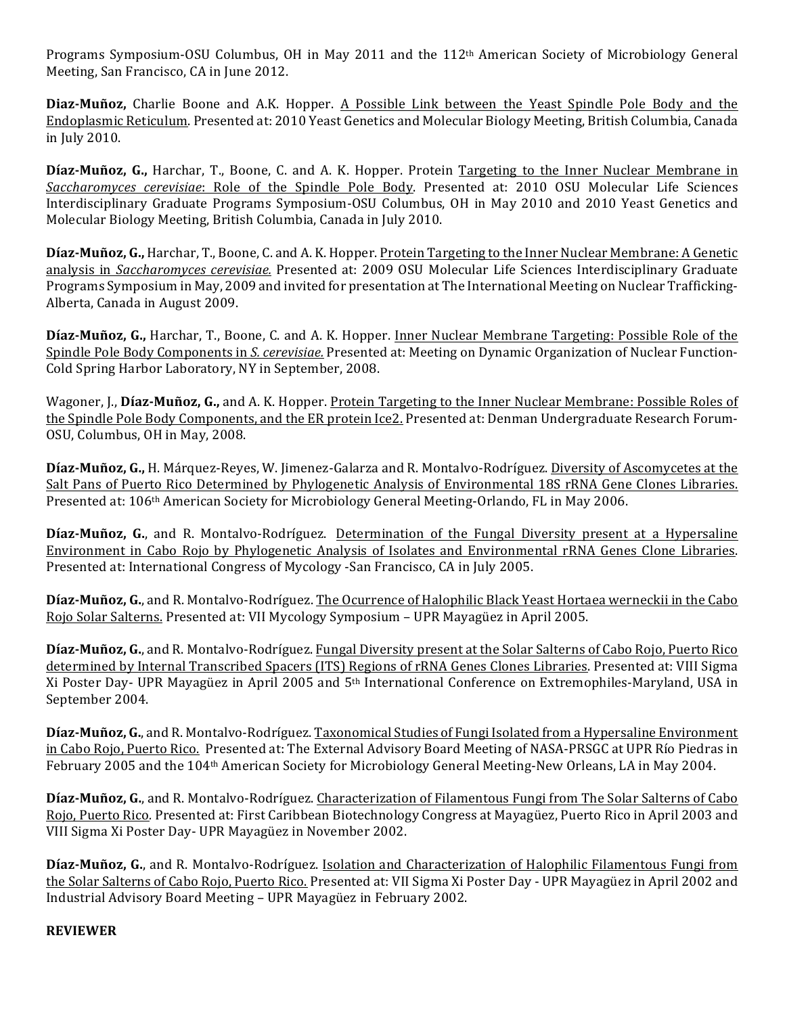Programs Symposium-OSU Columbus, OH in May 2011 and the 112<sup>th</sup> American Society of Microbiology General Meeting, San Francisco, CA in June 2012.

**Diaz-Muñoz,** Charlie Boone and A.K. Hopper. A Possible Link between the Yeast Spindle Pole Body and the Endoplasmic Reticulum. Presented at: 2010 Yeast Genetics and Molecular Biology Meeting, British Columbia, Canada in July 2010.

**Díaz-Muñoz, G., Harchar, T., Boone, C. and A. K. Hopper. Protein Targeting to the Inner Nuclear Membrane in** *Saccharomyces cerevisiae*: Role of the Spindle Pole Body. Presented at: 2010 OSU Molecular Life Sciences Interdisciplinary Graduate Programs Symposium-OSU Columbus, OH in May 2010 and 2010 Yeast Genetics and Molecular Biology Meeting, British Columbia, Canada in July 2010.

Díaz-Muñoz, G., Harchar, T., Boone, C. and A. K. Hopper. Protein Targeting to the Inner Nuclear Membrane: A Genetic analysis in *Saccharomyces cerevisiae*. Presented at: 2009 OSU Molecular Life Sciences Interdisciplinary Graduate Programs Symposium in May, 2009 and invited for presentation at The International Meeting on Nuclear Trafficking-Alberta, Canada in August 2009.

Díaz-Muñoz, G., Harchar, T., Boone, C. and A. K. Hopper. <u>Inner Nuclear Membrane Targeting: Possible Role of the</u> Spindle Pole Body Components in *S. cerevisiae.* Presented at: Meeting on Dynamic Organization of Nuclear Function-Cold Spring Harbor Laboratory, NY in September, 2008.

Wagoner, J., Díaz-Muñoz, G., and A. K. Hopper. Protein Targeting to the Inner Nuclear Membrane: Possible Roles of the Spindle Pole Body Components, and the ER protein Ice2. Presented at: Denman Undergraduate Research Forum-OSU, Columbus, OH in May, 2008.

**Díaz-Muñoz, G.,** H. Márquez-Reyes, W. Jimenez-Galarza and R. Montalvo-Rodríguez. Diversity of Ascomycetes at the Salt Pans of Puerto Rico Determined by Phylogenetic Analysis of Environmental 18S rRNA Gene Clones Libraries. Presented at: 106<sup>th</sup> American Society for Microbiology General Meeting-Orlando, FL in May 2006.

**Díaz-Muñoz, G.**, and R. Montalvo-Rodríguez. Determination of the Fungal Diversity present at a Hypersaline Environment in Cabo Rojo by Phylogenetic Analysis of Isolates and Environmental rRNA Genes Clone Libraries. Presented at: International Congress of Mycology -San Francisco, CA in July 2005.

Díaz-Muñoz, G., and R. Montalvo-Rodríguez. The Ocurrence of Halophilic Black Yeast Hortaea werneckii in the Cabo Rojo Solar Salterns. Presented at: VII Mycology Symposium - UPR Mayagüez in April 2005.

Díaz-Muñoz, G., and R. Montalvo-Rodríguez. Fungal Diversity present at the Solar Salterns of Cabo Rojo, Puerto Rico determined by Internal Transcribed Spacers (ITS) Regions of rRNA Genes Clones Libraries. Presented at: VIII Sigma Xi Poster Day- UPR Mayagüez in April 2005 and 5<sup>th</sup> International Conference on Extremophiles-Maryland, USA in September 2004.

Díaz-Muñoz, G., and R. Montalvo-Rodríguez. Taxonomical Studies of Fungi Isolated from a Hypersaline Environment in Cabo Rojo, Puerto Rico. Presented at: The External Advisory Board Meeting of NASA-PRSGC at UPR Río Piedras in February 2005 and the 104<sup>th</sup> American Society for Microbiology General Meeting-New Orleans, LA in May 2004.

Díaz-Muñoz, G., and R. Montalvo-Rodríguez. Characterization of Filamentous Fungi from The Solar Salterns of Cabo Rojo, Puerto Rico. Presented at: First Caribbean Biotechnology Congress at Mayagüez, Puerto Rico in April 2003 and VIII Sigma Xi Poster Day- UPR Mayagüez in November 2002.

**Díaz-Muñoz, G.**, and R. Montalvo-Rodríguez. Isolation and Characterization of Halophilic Filamentous Fungi from the Solar Salterns of Cabo Rojo, Puerto Rico. Presented at: VII Sigma Xi Poster Day - UPR Mayagüez in April 2002 and Industrial Advisory Board Meeting - UPR Mayagüez in February 2002.

#### **REVIEWER**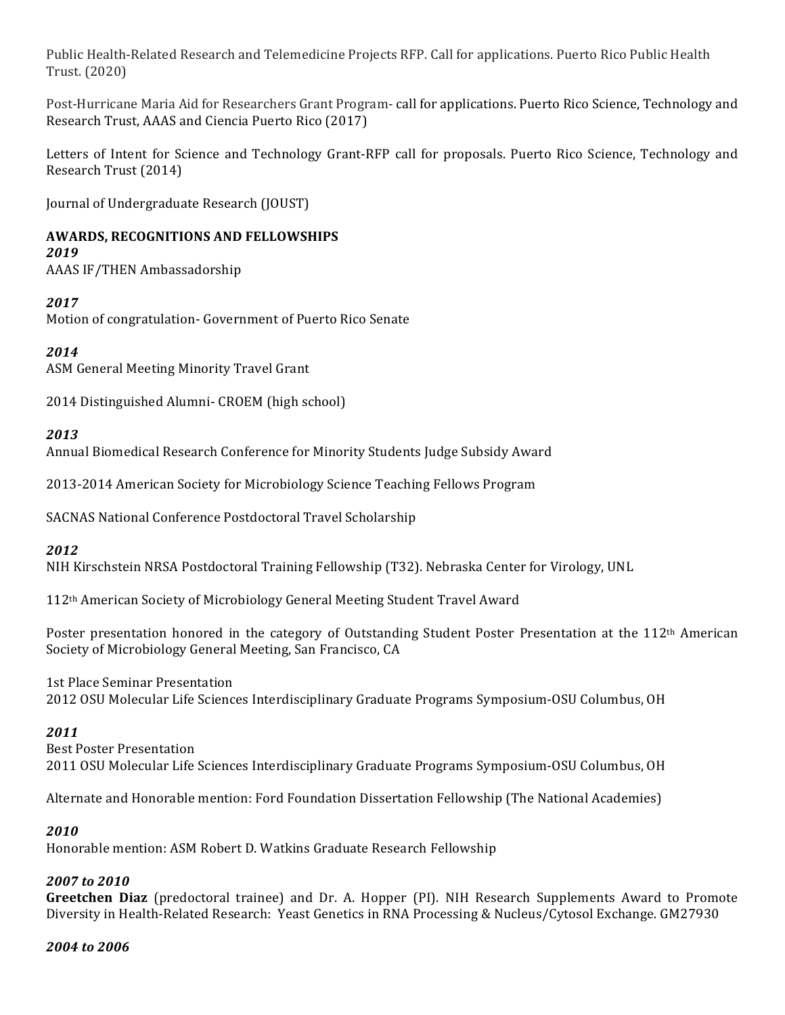Public Health-Related Research and Telemedicine Projects RFP. Call for applications. Puerto Rico Public Health Trust. (2020)

Post-Hurricane Maria Aid for Researchers Grant Program- call for applications. Puerto Rico Science, Technology and Research Trust, AAAS and Ciencia Puerto Rico (2017)

Letters of Intent for Science and Technology Grant-RFP call for proposals. Puerto Rico Science, Technology and Research Trust (2014)

Journal of Undergraduate Research (JOUST)

### **AWARDS, RECOGNITIONS AND FELLOWSHIPS**

### *2019*

AAAS IF/THEN Ambassadorship 

### *2017*

Motion of congratulation- Government of Puerto Rico Senate

### *2014*

ASM General Meeting Minority Travel Grant

2014 Distinguished Alumni- CROEM (high school)

#### *2013*

Annual Biomedical Research Conference for Minority Students Judge Subsidy Award

2013-2014 American Society for Microbiology Science Teaching Fellows Program

SACNAS National Conference Postdoctoral Travel Scholarship

#### *2012*

NIH Kirschstein NRSA Postdoctoral Training Fellowship (T32). Nebraska Center for Virology, UNL

112<sup>th</sup> American Society of Microbiology General Meeting Student Travel Award

Poster presentation honored in the category of Outstanding Student Poster Presentation at the 112<sup>th</sup> American Society of Microbiology General Meeting, San Francisco, CA

1st Place Seminar Presentation 2012 OSU Molecular Life Sciences Interdisciplinary Graduate Programs Symposium-OSU Columbus, OH

#### *2011*

**Best Poster Presentation** 2011 OSU Molecular Life Sciences Interdisciplinary Graduate Programs Symposium-OSU Columbus, OH

Alternate and Honorable mention: Ford Foundation Dissertation Fellowship (The National Academies)

### *2010*

Honorable mention: ASM Robert D. Watkins Graduate Research Fellowship

#### *2007 to 2010*

**Greetchen Diaz** (predoctoral trainee) and Dr. A. Hopper (PI). NIH Research Supplements Award to Promote Diversity in Health-Related Research: Yeast Genetics in RNA Processing & Nucleus/Cytosol Exchange. GM27930

#### *2004 to 2006*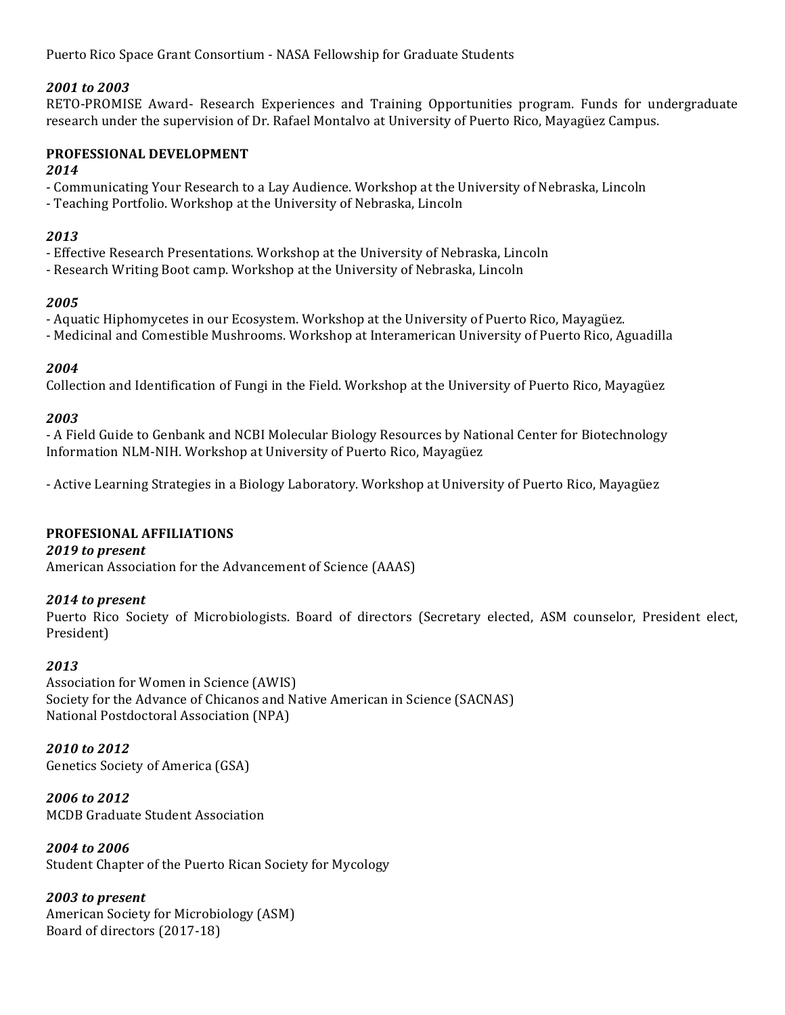Puerto Rico Space Grant Consortium - NASA Fellowship for Graduate Students

#### *2001 to 2003*

RETO-PROMISE Award- Research Experiences and Training Opportunities program. Funds for undergraduate research under the supervision of Dr. Rafael Montalvo at University of Puerto Rico, Mayagüez Campus.

#### **PROFESSIONAL DEVELOPMENT**

#### *2014*

- Communicating Your Research to a Lay Audience. Workshop at the University of Nebraska, Lincoln

- Teaching Portfolio. Workshop at the University of Nebraska, Lincoln

### *2013*

- Effective Research Presentations. Workshop at the University of Nebraska, Lincoln

- Research Writing Boot camp. Workshop at the University of Nebraska, Lincoln

### *2005*

- Aquatic Hiphomycetes in our Ecosystem. Workshop at the University of Puerto Rico, Mayagüez.

- Medicinal and Comestible Mushrooms. Workshop at Interamerican University of Puerto Rico, Aguadilla

### *2004*

Collection and Identification of Fungi in the Field. Workshop at the University of Puerto Rico, Mayagüez

### *2003*

- A Field Guide to Genbank and NCBI Molecular Biology Resources by National Center for Biotechnology Information NLM-NIH. Workshop at University of Puerto Rico, Mayagüez

- Active Learning Strategies in a Biology Laboratory. Workshop at University of Puerto Rico, Mayagüez

### **PROFESIONAL AFFILIATIONS**

### 2019 to present

American Association for the Advancement of Science (AAAS)

### 2014 to present

Puerto Rico Society of Microbiologists. Board of directors (Secretary elected, ASM counselor, President elect, President)

### *2013*

Association for Women in Science (AWIS) Society for the Advance of Chicanos and Native American in Science (SACNAS) National Postdoctoral Association (NPA)

*2010 to 2012* Genetics Society of America (GSA)

*2006 to 2012* MCDB Graduate Student Association

*2004 to 2006*  Student Chapter of the Puerto Rican Society for Mycology

*2003 to present* American Society for Microbiology (ASM) Board of directors (2017-18)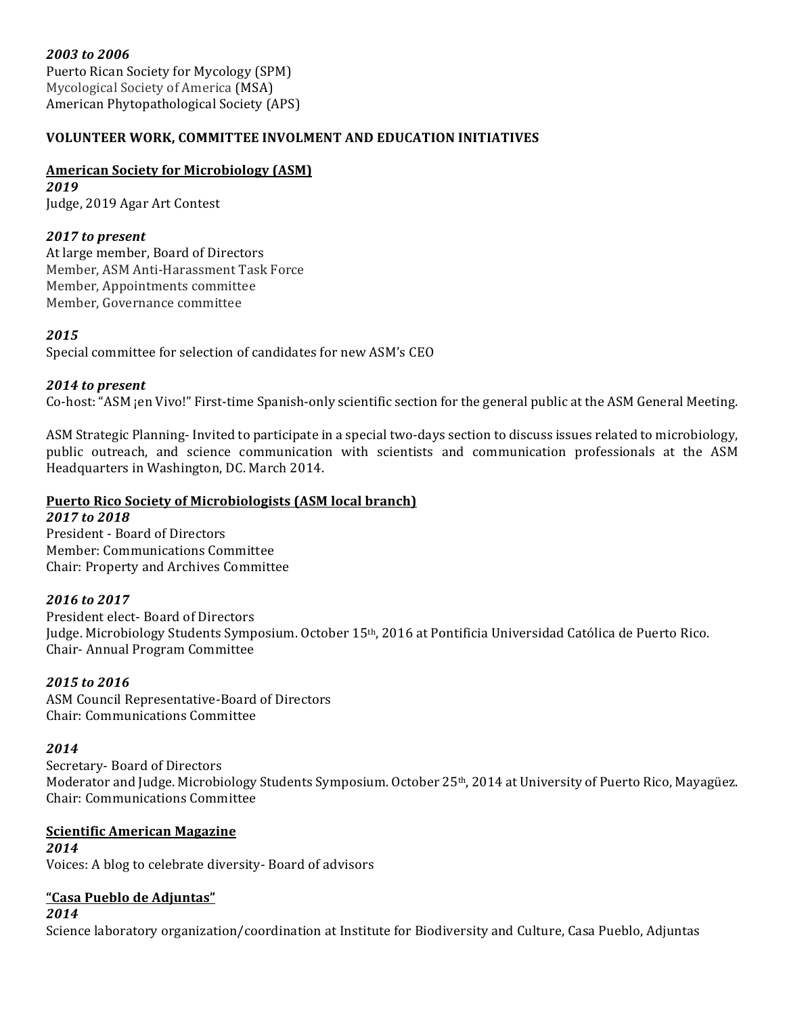*2003 to 2006* Puerto Rican Society for Mycology (SPM) Mycological Society of America (MSA) American Phytopathological Society (APS)

## **VOLUNTEER WORK, COMMITTEE INVOLMENT AND EDUCATION INITIATIVES**

## **American Society for Microbiology (ASM)**

*2019* Judge, 2019 Agar Art Contest

## 2017 *to* present

At large member, Board of Directors Member, ASM Anti-Harassment Task Force Member, Appointments committee Member, Governance committee

### *2015*

Special committee for selection of candidates for new ASM's CEO

### 2014 to present

Co-host: "ASM jen Vivo!" First-time Spanish-only scientific section for the general public at the ASM General Meeting.

ASM Strategic Planning-Invited to participate in a special two-days section to discuss issues related to microbiology, public outreach, and science communication with scientists and communication professionals at the ASM Headquarters in Washington, DC. March 2014.

# **Puerto Rico Society of Microbiologists (ASM local branch)**

#### *2017 to 2018*

President - Board of Directors Member: Communications Committee Chair: Property and Archives Committee

### *2016 to 2017*

President elect- Board of Directors Judge. Microbiology Students Symposium. October 15<sup>th</sup>, 2016 at Pontificia Universidad Católica de Puerto Rico. Chair- Annual Program Committee 

### *2015 to 2016*

ASM Council Representative-Board of Directors Chair: Communications Committee

### *2014*

Secretary- Board of Directors Moderator and Judge. Microbiology Students Symposium. October 25<sup>th</sup>, 2014 at University of Puerto Rico, Mayagüez. Chair: Communications Committee

## **Scientific American Magazine**

*2014* Voices: A blog to celebrate diversity- Board of advisors

### **"Casa Pueblo de Adjuntas"**

*2014*

Science laboratory organization/coordination at Institute for Biodiversity and Culture, Casa Pueblo, Adjuntas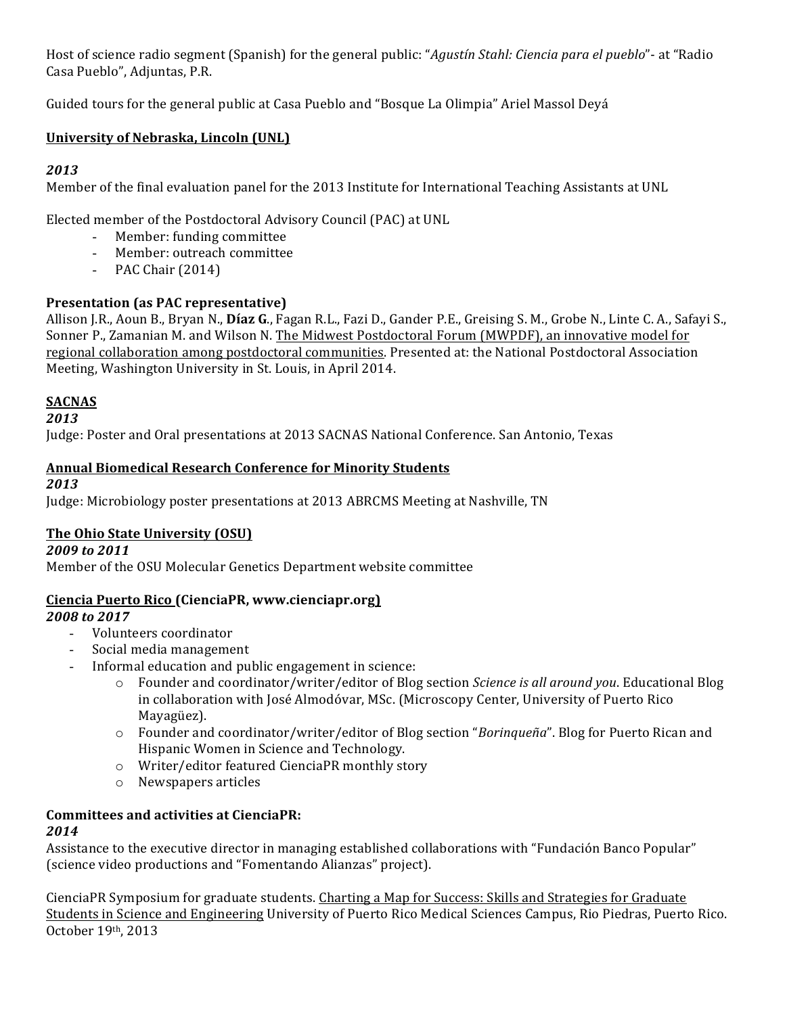Host of science radio segment (Spanish) for the general public: "*Agustín Stahl: Ciencia para el pueblo*"- at "Radio Casa Pueblo", Adjuntas, P.R.

Guided tours for the general public at Casa Pueblo and "Bosque La Olimpia" Ariel Massol Devá

## **University of Nebraska, Lincoln (UNL)**

## *2013*

Member of the final evaluation panel for the 2013 Institute for International Teaching Assistants at UNL

Elected member of the Postdoctoral Advisory Council (PAC) at UNL

- Member: funding committee
- Member: outreach committee
- PAC Chair  $(2014)$

### **Presentation (as PAC representative)**

Allison J.R., Aoun B., Bryan N., Díaz G., Fagan R.L., Fazi D., Gander P.E., Greising S. M., Grobe N., Linte C. A., Safayi S., Sonner P., Zamanian M. and Wilson N. The Midwest Postdoctoral Forum (MWPDF), an innovative model for regional collaboration among postdoctoral communities. Presented at: the National Postdoctoral Association Meeting, Washington University in St. Louis, in April 2014.

### **SACNAS**

### *2013*

Judge: Poster and Oral presentations at 2013 SACNAS National Conference. San Antonio, Texas

## **Annual Biomedical Research Conference for Minority Students**

### *2013*

Judge: Microbiology poster presentations at 2013 ABRCMS Meeting at Nashville, TN

### **The Ohio State University (OSU)**

### *2009 to 2011*

Member of the OSU Molecular Genetics Department website committee

### **Ciencia Puerto Rico (CienciaPR, www.cienciapr.org)**

### *2008 to 2017*

- Volunteers coordinator
- Social media management
- Informal education and public engagement in science:
	- $\circ$  Founder and coordinator/writer/editor of Blog section *Science is all around you*. Educational Blog in collaboration with José Almodóvar, MSc. (Microscopy Center, University of Puerto Rico Mayagüez).
	- o Founder and coordinator/writer/editor of Blog section "Borinqueña". Blog for Puerto Rican and Hispanic Women in Science and Technology.
	- $\circ$  Writer/editor featured CienciaPR monthly story
	- o Newspapers articles

#### **Committees and activities at CienciaPR:** *2014*

Assistance to the executive director in managing established collaborations with "Fundación Banco Popular" (science video productions and "Fomentando Alianzas" project).

CienciaPR Symposium for graduate students. Charting a Map for Success: Skills and Strategies for Graduate Students in Science and Engineering University of Puerto Rico Medical Sciences Campus, Rio Piedras, Puerto Rico. October 19th, 2013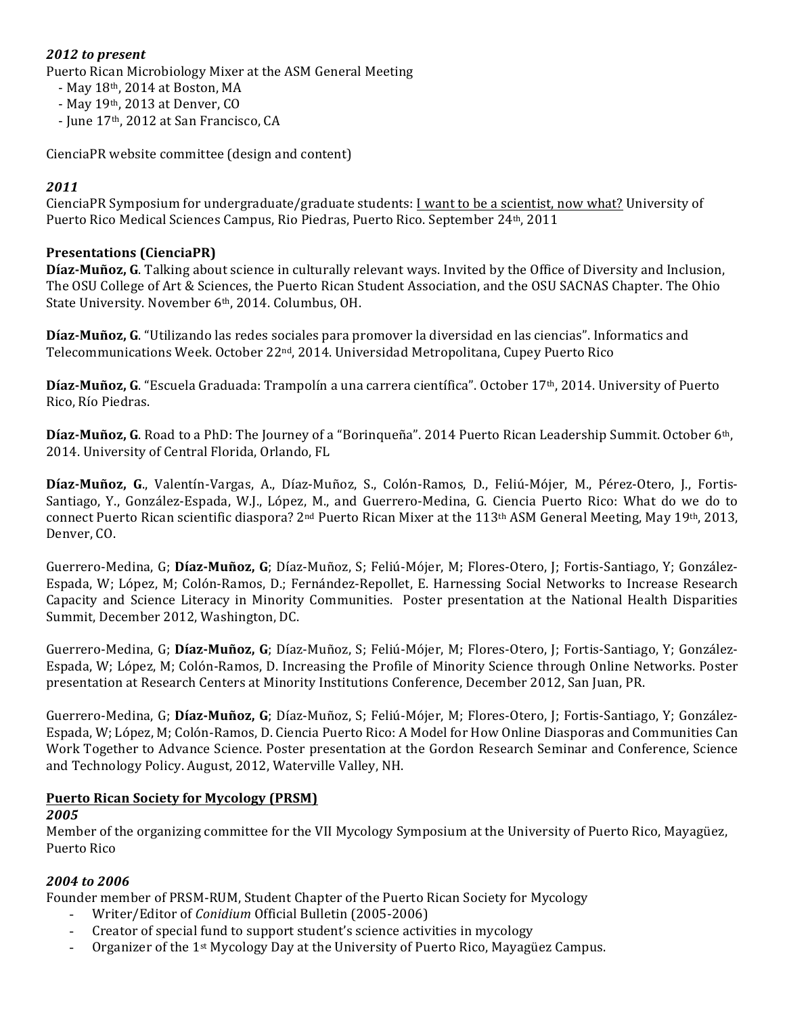### 2012 to present

Puerto Rican Microbiology Mixer at the ASM General Meeting

- May 18th, 2014 at Boston, MA
- $-$  May  $19<sup>th</sup>$ , 2013 at Denver, CO
- June 17<sup>th</sup>, 2012 at San Francisco, CA

CienciaPR website committee (design and content)

### *2011*

CienciaPR Symposium for undergraduate/graduate students: I want to be a scientist, now what? University of Puerto Rico Medical Sciences Campus, Rio Piedras, Puerto Rico. September 24th, 2011

### **Presentations (CienciaPR)**

**Díaz-Muñoz, G**. Talking about science in culturally relevant ways. Invited by the Office of Diversity and Inclusion, The OSU College of Art & Sciences, the Puerto Rican Student Association, and the OSU SACNAS Chapter. The Ohio State University. November 6th, 2014. Columbus, OH.

**Díaz-Muñoz, G.** "Utilizando las redes sociales para promover la diversidad en las ciencias". Informatics and Telecommunications Week. October 22<sup>nd</sup>, 2014. Universidad Metropolitana, Cupey Puerto Rico

Díaz-Muñoz, G. "Escuela Graduada: Trampolín a una carrera científica". October 17<sup>th</sup>, 2014. University of Puerto Rico, Río Piedras.

**Díaz-Muñoz, G**. Road to a PhD: The Journey of a "Borinqueña". 2014 Puerto Rican Leadership Summit. October 6th, 2014. University of Central Florida, Orlando, FL

Díaz-Muñoz, G., Valentín-Vargas, A., Díaz-Muñoz, S., Colón-Ramos, D., Feliú-Mójer, M., Pérez-Otero, J., Fortis-Santiago, Y., González-Espada, W.J., López, M., and Guerrero-Medina, G. Ciencia Puerto Rico: What do we do to connect Puerto Rican scientific diaspora?  $2^{nd}$  Puerto Rican Mixer at the 113<sup>th</sup> ASM General Meeting, May 19<sup>th</sup>, 2013, Denver, CO.

Guerrero-Medina, G; Díaz-Muñoz, G; Díaz-Muñoz, S; Feliú-Mójer, M; Flores-Otero, J; Fortis-Santiago, Y; González-Espada, W; López, M; Colón-Ramos, D.; Fernández-Repollet, E. Harnessing Social Networks to Increase Research Capacity and Science Literacy in Minority Communities. Poster presentation at the National Health Disparities Summit, December 2012, Washington, DC.

Guerrero-Medina, G; Díaz-Muñoz, G; Díaz-Muñoz, S; Feliú-Mójer, M; Flores-Otero, J; Fortis-Santiago, Y; González-Espada, W; López, M; Colón-Ramos, D. Increasing the Profile of Minority Science through Online Networks. Poster presentation at Research Centers at Minority Institutions Conference, December 2012, San Juan, PR.

Guerrero-Medina, G; Díaz-Muñoz, G; Díaz-Muñoz, S; Feliú-Mójer, M; Flores-Otero, J; Fortis-Santiago, Y; González-Espada, W; López, M; Colón-Ramos, D. Ciencia Puerto Rico: A Model for How Online Diasporas and Communities Can Work Together to Advance Science. Poster presentation at the Gordon Research Seminar and Conference, Science and Technology Policy. August, 2012, Waterville Valley, NH.

### **Puerto Rican Society for Mycology (PRSM)**

#### *2005*

Member of the organizing committee for the VII Mycology Symposium at the University of Puerto Rico, Mayagüez, Puerto Rico

### *2004 to 2006*

Founder member of PRSM-RUM, Student Chapter of the Puerto Rican Society for Mycology

- Writer/Editor of *Conidium* Official Bulletin (2005-2006)
- Creator of special fund to support student's science activities in mycology
- Organizer of the  $1<sup>st</sup> Mycology$  Day at the University of Puerto Rico, Mayagüez Campus.